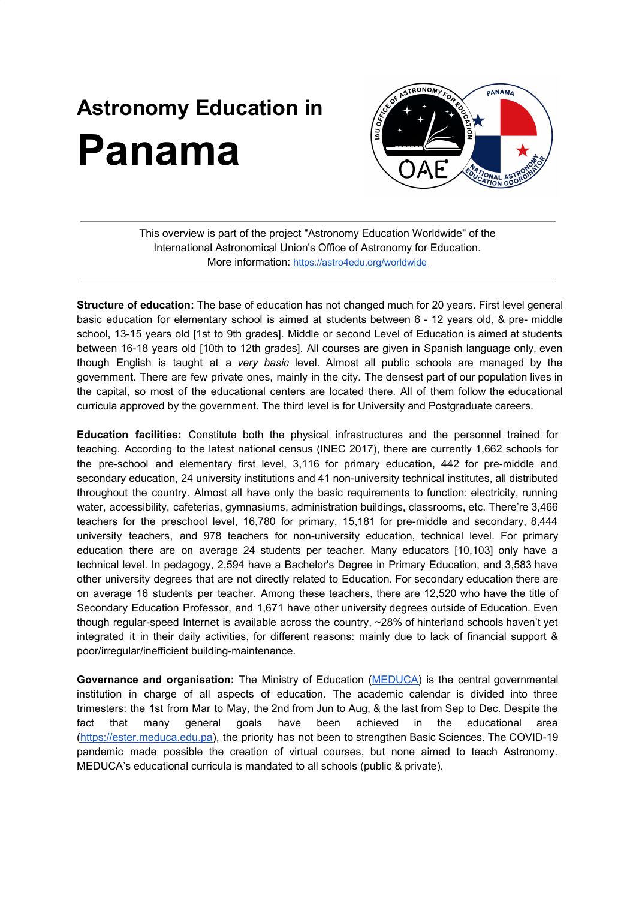## **Astronomy Education in Panama**



This overview is part of the project "Astronomy Education Worldwide" of the International Astronomical Union's Office of Astronomy for Education. More information: <https://astro4edu.org/worldwide>

**Structure of education:** The base of education has not changed much for 20 years. First level general basic education for elementary school is aimed at students between 6 - 12 years old, & pre- middle school, 13-15 years old [1st to 9th grades]. Middle or second Level of Education is aimed at students between 16-18 years old [10th to 12th grades]. All courses are given in Spanish language only, even though English is taught at a *very basic* level. Almost all public schools are managed by the government. There are few private ones, mainly in the city. The densest part of our population lives in the capital, so most of the educational centers are located there. All of them follow the educational curricula approved by the government*.* The third level is for University and Postgraduate careers.

**Education facilities:** Constitute both the physical infrastructures and the personnel trained for teaching. According to the latest national census (INEC 2017), there are currently 1,662 schools for the pre-school and elementary first level, 3,116 for primary education, 442 for pre-middle and secondary education, 24 university institutions and 41 non-university technical institutes, all distributed throughout the country. Almost all have only the basic requirements to function: electricity, running water, accessibility, cafeterias, gymnasiums, administration buildings, classrooms, etc. There're 3,466 teachers for the preschool level, 16,780 for primary, 15,181 for pre-middle and secondary, 8,444 university teachers, and 978 teachers for non-university education, technical level. For primary education there are on average 24 students per teacher. Many educators [10,103] only have a technical level. In pedagogy, 2,594 have a Bachelor's Degree in Primary Education, and 3,583 have other university degrees that are not directly related to Education. For secondary education there are on average 16 students per teacher. Among these teachers, there are 12,520 who have the title of Secondary Education Professor, and 1,671 have other university degrees outside of Education. Even though regular-speed Internet is available across the country, ~28% of hinterland schools haven't yet integrated it in their daily activities, for different reasons: mainly due to lack of financial support & poor/irregular/inefficient building-maintenance.

**Governance and organisation:** The Ministry of Education ([MEDUCA](https://www.meduca.gob.pa/)) is the central governmental institution in charge of all aspects of education. The academic calendar is divided into three trimesters: the 1st from Mar to May, the 2nd from Jun to Aug, & the last from Sep to Dec. Despite the fact that many general goals have been achieved in the educational area [\(https://ester.meduca.edu.pa\)](https://ester.meduca.edu.pa/), the priority has not been to strengthen Basic Sciences. The COVID-19 pandemic made possible the creation of virtual courses, but none aimed to teach Astronomy. MEDUCA's educational curricula is mandated to all schools (public & private).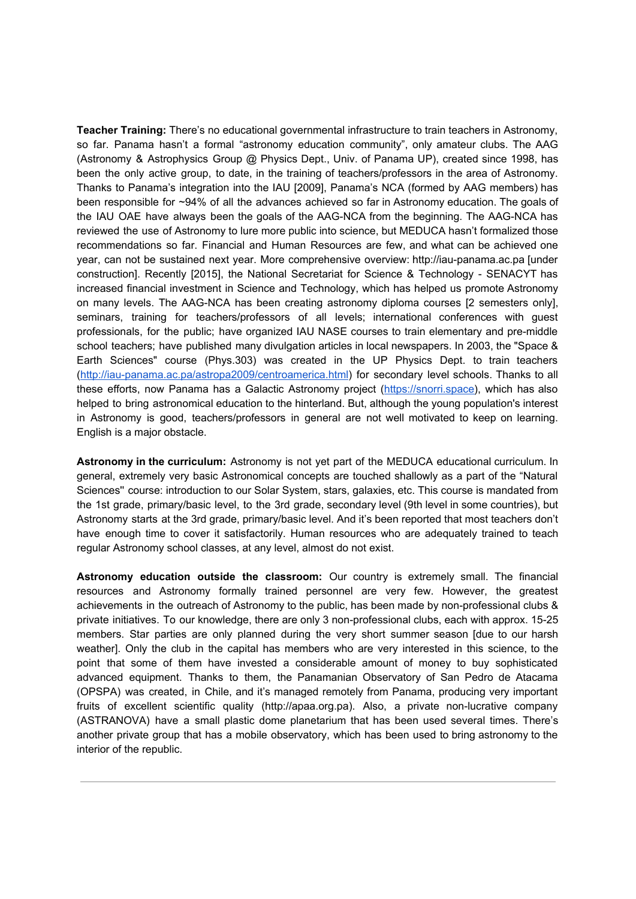**Teacher Training:** There's no educational governmental infrastructure to train teachers in Astronomy, so far. Panama hasn't a formal "astronomy education community", only amateur clubs. The AAG (Astronomy & Astrophysics Group @ Physics Dept., Univ. of Panama UP), created since 1998, has been the only active group, to date, in the training of teachers/professors in the area of Astronomy. Thanks to Panama's integration into the IAU [2009], Panama's NCA (formed by AAG members) has been responsible for ~94% of all the advances achieved so far in Astronomy education. The goals of the IAU OAE have always been the goals of the AAG-NCA from the beginning. The AAG-NCA has reviewed the use of Astronomy to lure more public into science, but MEDUCA hasn't formalized those recommendations so far. Financial and Human Resources are few, and what can be achieved one year, can not be sustained next year. More comprehensive overview: http://iau-panama.ac.pa [under construction]. Recently [2015], the National Secretariat for Science & Technology - SENACYT has increased financial investment in Science and Technology, which has helped us promote Astronomy on many levels. The AAG-NCA has been creating astronomy diploma courses [2 semesters only], seminars, training for teachers/professors of all levels; international conferences with guest professionals, for the public; have organized IAU NASE courses to train elementary and pre-middle school teachers; have published many divulgation articles in local newspapers. In 2003, the "Space & Earth Sciences" course (Phys.303) was created in the UP Physics Dept. to train teachers [\(http://iau-panama.ac.pa/astropa2009/centroamerica.html\)](http://iau-panama.ac.pa/astropa2009/centroamerica.html) for secondary level schools. Thanks to all these efforts, now Panama has a Galactic Astronomy project [\(https://snorri.space](https://snorri.space/)), which has also helped to bring astronomical education to the hinterland. But, although the young population's interest in Astronomy is good, teachers/professors in general are not well motivated to keep on learning. English is a major obstacle.

**Astronomy in the curriculum:** Astronomy is not yet part of the MEDUCA educational curriculum. In general, extremely very basic Astronomical concepts are touched shallowly as a part of the "Natural Sciences'' course: introduction to our Solar System, stars, galaxies, etc. This course is mandated from the 1st grade, primary/basic level, to the 3rd grade, secondary level (9th level in some countries), but Astronomy starts at the 3rd grade, primary/basic level. And it's been reported that most teachers don't have enough time to cover it satisfactorily. Human resources who are adequately trained to teach regular Astronomy school classes, at any level, almost do not exist.

**Astronomy education outside the classroom:** Our country is extremely small. The financial resources and Astronomy formally trained personnel are very few. However, the greatest achievements in the outreach of Astronomy to the public, has been made by non-professional clubs & private initiatives. To our knowledge, there are only 3 non-professional clubs, each with approx. 15-25 members. Star parties are only planned during the very short summer season [due to our harsh weather]. Only the club in the capital has members who are very interested in this science, to the point that some of them have invested a considerable amount of money to buy sophisticated advanced equipment. Thanks to them, the Panamanian Observatory of San Pedro de Atacama (OPSPA) was created, in Chile, and it's managed remotely from Panama, producing very important fruits of excellent scientific quality (http://apaa.org.pa). Also, a private non-lucrative company (ASTRANOVA) have a small plastic dome planetarium that has been used several times. There's another private group that has a mobile observatory, which has been used to bring astronomy to the interior of the republic.